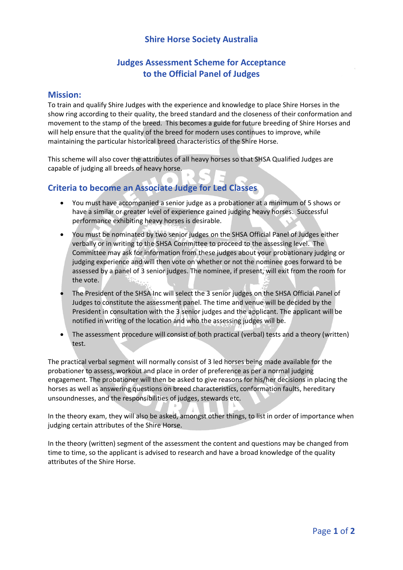### **Shire Horse Society Australia**

# **Judges Assessment Scheme for Acceptance to the Official Panel of Judges**

#### **Mission:**

To train and qualify Shire Judges with the experience and knowledge to place Shire Horses in the show ring according to their quality, the breed standard and the closeness of their conformation and movement to the stamp of the breed. This becomes a guide for future breeding of Shire Horses and will help ensure that the quality of the breed for modern uses continues to improve, while maintaining the particular historical breed characteristics of the Shire Horse.

This scheme will also cover the attributes of all heavy horses so that SHSA Qualified Judges are capable of judging all breeds of heavy horse.

## **Criteria to become an Associate Judge for Led Classes**

- You must have accompanied a senior judge as a probationer at a minimum of 5 shows or have a similar or greater level of experience gained judging heavy horses. Successful performance exhibiting heavy horses is desirable.
- You must be nominated by two senior judges on the SHSA Official Panel of Judges either verbally or in writing to the SHSA Committee to proceed to the assessing level. The Committee may ask for information from these judges about your probationary judging or judging experience and will then vote on whether or not the nominee goes forward to be assessed by a panel of 3 senior judges. The nominee, if present, will exit from the room for the vote.
- The President of the SHSA Inc will select the 3 senior judges on the SHSA Official Panel of Judges to constitute the assessment panel. The time and venue will be decided by the President in consultation with the 3 senior judges and the applicant. The applicant will be notified in writing of the location and who the assessing judges will be.
- The assessment procedure will consist of both practical (verbal) tests and a theory (written) test.

The practical verbal segment will normally consist of 3 led horses being made available for the probationer to assess, workout and place in order of preference as per a normal judging engagement. The probationer will then be asked to give reasons for his/her decisions in placing the horses as well as answering questions on breed characteristics, conformation faults, hereditary unsoundnesses, and the responsibilities of judges, stewards etc.

In the theory exam, they will also be asked, amongst other things, to list in order of importance when judging certain attributes of the Shire Horse.

In the theory (written) segment of the assessment the content and questions may be changed from time to time, so the applicant is advised to research and have a broad knowledge of the quality attributes of the Shire Horse.